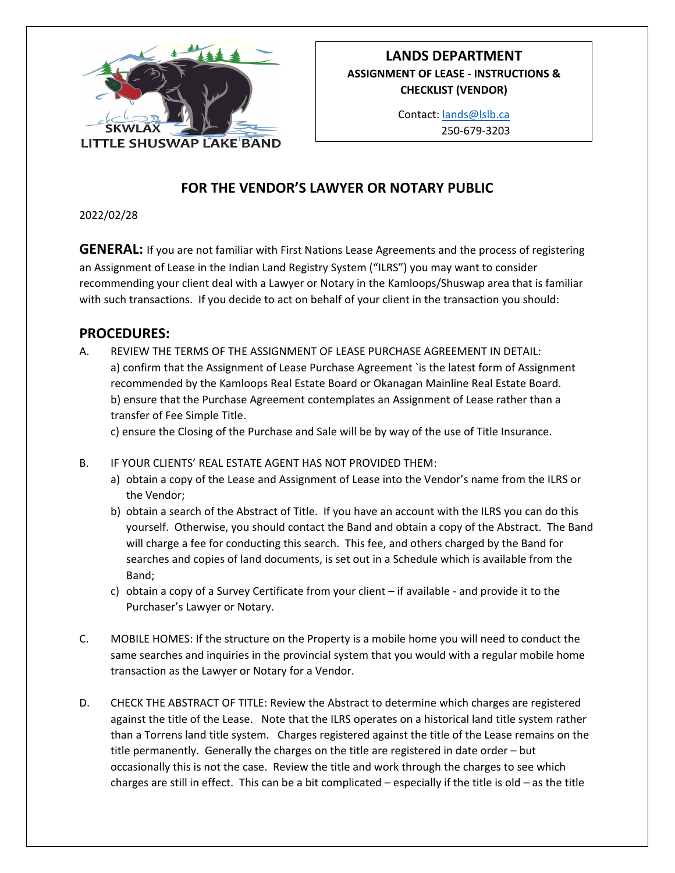

## **LANDS DEPARTMENT ASSIGNMENT OF LEASE - INSTRUCTIONS & CHECKLIST (VENDOR)**

Contact: [lands@lslb.ca](mailto:lands@lslb.ca) 250-679-3203

## **FOR THE VENDOR'S LAWYER OR NOTARY PUBLIC**

## 2022/02/28

**GENERAL:** If you are not familiar with First Nations Lease Agreements and the process of registering an Assignment of Lease in the Indian Land Registry System ("ILRS") you may want to consider recommending your client deal with a Lawyer or Notary in the Kamloops/Shuswap area that is familiar with such transactions. If you decide to act on behalf of your client in the transaction you should:

## **PROCEDURES:**

A. REVIEW THE TERMS OF THE ASSIGNMENT OF LEASE PURCHASE AGREEMENT IN DETAIL: a) confirm that the Assignment of Lease Purchase Agreement `is the latest form of Assignment recommended by the Kamloops Real Estate Board or Okanagan Mainline Real Estate Board. b) ensure that the Purchase Agreement contemplates an Assignment of Lease rather than a transfer of Fee Simple Title.

c) ensure the Closing of the Purchase and Sale will be by way of the use of Title Insurance.

- B. IF YOUR CLIENTS' REAL ESTATE AGENT HAS NOT PROVIDED THEM:
	- a) obtain a copy of the Lease and Assignment of Lease into the Vendor's name from the ILRS or the Vendor;
	- b) obtain a search of the Abstract of Title. If you have an account with the ILRS you can do this yourself. Otherwise, you should contact the Band and obtain a copy of the Abstract. The Band will charge a fee for conducting this search. This fee, and others charged by the Band for searches and copies of land documents, is set out in a Schedule which is available from the Band;
	- c) obtain a copy of a Survey Certificate from your client if available and provide it to the Purchaser's Lawyer or Notary.
- C. MOBILE HOMES: If the structure on the Property is a mobile home you will need to conduct the same searches and inquiries in the provincial system that you would with a regular mobile home transaction as the Lawyer or Notary for a Vendor.
- D. CHECK THE ABSTRACT OF TITLE: Review the Abstract to determine which charges are registered against the title of the Lease. Note that the ILRS operates on a historical land title system rather than a Torrens land title system. Charges registered against the title of the Lease remains on the title permanently. Generally the charges on the title are registered in date order – but occasionally this is not the case. Review the title and work through the charges to see which charges are still in effect. This can be a bit complicated – especially if the title is old – as the title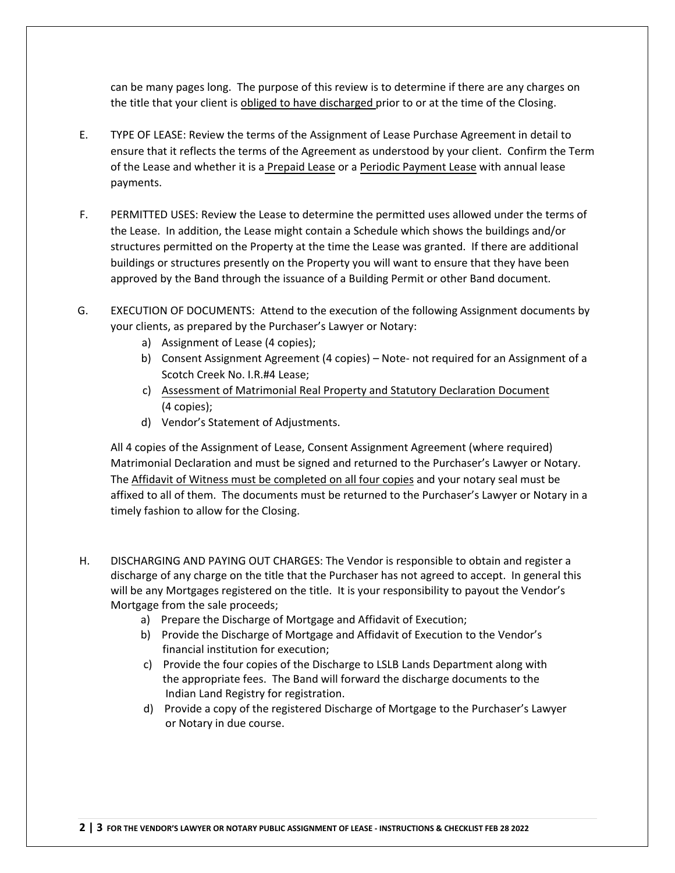can be many pages long. The purpose of this review is to determine if there are any charges on the title that your client is obliged to have discharged prior to or at the time of the Closing.

- E. TYPE OF LEASE: Review the terms of the Assignment of Lease Purchase Agreement in detail to ensure that it reflects the terms of the Agreement as understood by your client. Confirm the Term of the Lease and whether it is a Prepaid Lease or a Periodic Payment Lease with annual lease payments.
- F. PERMITTED USES: Review the Lease to determine the permitted uses allowed under the terms of the Lease. In addition, the Lease might contain a Schedule which shows the buildings and/or structures permitted on the Property at the time the Lease was granted. If there are additional buildings or structures presently on the Property you will want to ensure that they have been approved by the Band through the issuance of a Building Permit or other Band document.
- G. EXECUTION OF DOCUMENTS: Attend to the execution of the following Assignment documents by your clients, as prepared by the Purchaser's Lawyer or Notary:
	- a) Assignment of Lease (4 copies);
	- b) Consent Assignment Agreement (4 copies) Note- not required for an Assignment of a Scotch Creek No. I.R.#4 Lease;
	- c) [Assessment of Matrimonial Real Property and](https://www.sac-isc.gc.ca/DAM/DAM-ISC-SAC/DAM-FNDNG/STAGING/texte-text/assesment_matrimonial_Real_prop_statutary_declaration_filable_1560870441989_eng.pdf) Statutory Declaration Document (4 copies);
	- d) Vendor's Statement of Adjustments.

All 4 copies of the Assignment of Lease, Consent Assignment Agreement (where required) Matrimonial Declaration and must be signed and returned to the Purchaser's Lawyer or Notary. The Affidavit of Witness must be completed on all four copies and your notary seal must be affixed to all of them. The documents must be returned to the Purchaser's Lawyer or Notary in a timely fashion to allow for the Closing.

- H. DISCHARGING AND PAYING OUT CHARGES: The Vendor is responsible to obtain and register a discharge of any charge on the title that the Purchaser has not agreed to accept. In general this will be any Mortgages registered on the title. It is your responsibility to payout the Vendor's Mortgage from the sale proceeds;
	- a) Prepare the Discharge of Mortgage and Affidavit of Execution;
	- b) Provide the Discharge of Mortgage and Affidavit of Execution to the Vendor's financial institution for execution;
	- c) Provide the four copies of the Discharge to LSLB Lands Department along with the appropriate fees. The Band will forward the discharge documents to the Indian Land Registry for registration.
	- d) Provide a copy of the registered Discharge of Mortgage to the Purchaser's Lawyer or Notary in due course.